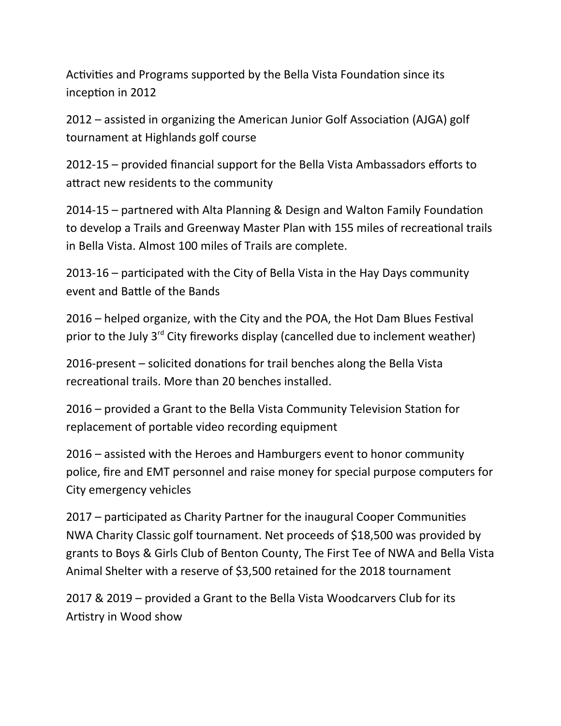Activities and Programs supported by the Bella Vista Foundation since its inception in 2012

2012 – assisted in organizing the American Junior Golf Association (AJGA) golf tournament at Highlands golf course

2012-15 – provided financial support for the Bella Vista Ambassadors efforts to attract new residents to the community

2014-15 – partnered with Alta Planning & Design and Walton Family Foundation to develop a Trails and Greenway Master Plan with 155 miles of recreational trails in Bella Vista. Almost 100 miles of Trails are complete.

2013-16 – participated with the City of Bella Vista in the Hay Days community event and Battle of the Bands

2016 – helped organize, with the City and the POA, the Hot Dam Blues Festival prior to the July 3<sup>rd</sup> City fireworks display (cancelled due to inclement weather)

2016-present – solicited donations for trail benches along the Bella Vista recreational trails. More than 20 benches installed.

2016 – provided a Grant to the Bella Vista Community Television Station for replacement of portable video recording equipment

2016 – assisted with the Heroes and Hamburgers event to honor community police, fire and EMT personnel and raise money for special purpose computers for City emergency vehicles

2017 – participated as Charity Partner for the inaugural Cooper Communities NWA Charity Classic golf tournament. Net proceeds of \$18,500 was provided by grants to Boys & Girls Club of Benton County, The First Tee of NWA and Bella Vista Animal Shelter with a reserve of \$3,500 retained for the 2018 tournament

2017 & 2019 – provided a Grant to the Bella Vista Woodcarvers Club for its Artistry in Wood show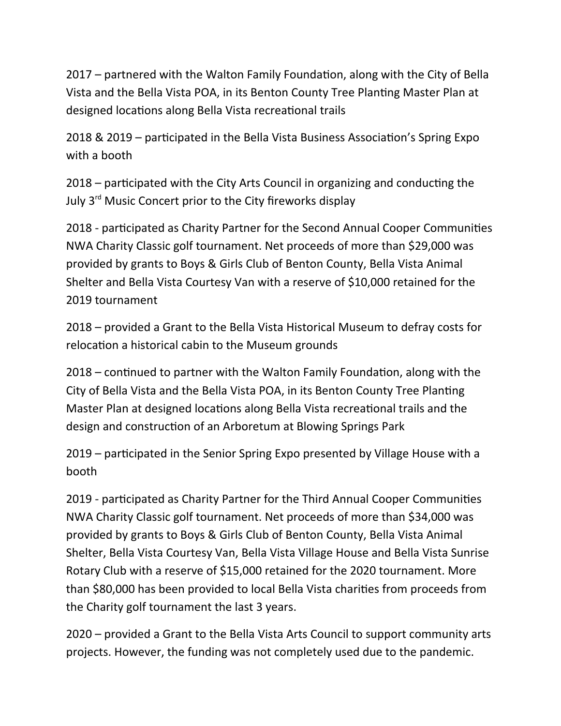2017 – partnered with the Walton Family Foundation, along with the City of Bella Vista and the Bella Vista POA, in its Benton County Tree Planting Master Plan at designed locations along Bella Vista recreational trails

2018 & 2019 – participated in the Bella Vista Business Association's Spring Expo with a booth

2018 – participated with the City Arts Council in organizing and conducting the July 3<sup>rd</sup> Music Concert prior to the City fireworks display

2018 - participated as Charity Partner for the Second Annual Cooper Communities NWA Charity Classic golf tournament. Net proceeds of more than \$29,000 was provided by grants to Boys & Girls Club of Benton County, Bella Vista Animal Shelter and Bella Vista Courtesy Van with a reserve of \$10,000 retained for the 2019 tournament

2018 – provided a Grant to the Bella Vista Historical Museum to defray costs for relocation a historical cabin to the Museum grounds

2018 – continued to partner with the Walton Family Foundation, along with the City of Bella Vista and the Bella Vista POA, in its Benton County Tree Planting Master Plan at designed locations along Bella Vista recreational trails and the design and construction of an Arboretum at Blowing Springs Park

2019 – participated in the Senior Spring Expo presented by Village House with a booth

2019 - participated as Charity Partner for the Third Annual Cooper Communities NWA Charity Classic golf tournament. Net proceeds of more than \$34,000 was provided by grants to Boys & Girls Club of Benton County, Bella Vista Animal Shelter, Bella Vista Courtesy Van, Bella Vista Village House and Bella Vista Sunrise Rotary Club with a reserve of \$15,000 retained for the 2020 tournament. More than \$80,000 has been provided to local Bella Vista charities from proceeds from the Charity golf tournament the last 3 years.

2020 – provided a Grant to the Bella Vista Arts Council to support community arts projects. However, the funding was not completely used due to the pandemic.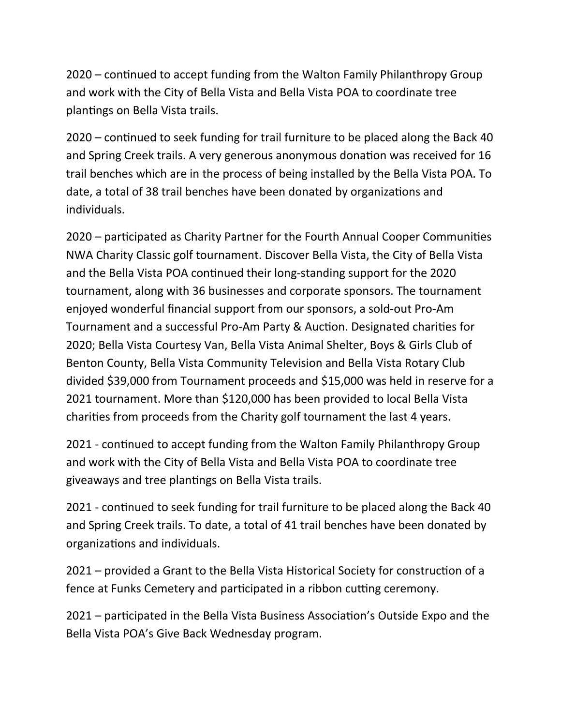2020 – continued to accept funding from the Walton Family Philanthropy Group and work with the City of Bella Vista and Bella Vista POA to coordinate tree plantings on Bella Vista trails.

2020 – continued to seek funding for trail furniture to be placed along the Back 40 and Spring Creek trails. A very generous anonymous donation was received for 16 trail benches which are in the process of being installed by the Bella Vista POA. To date, a total of 38 trail benches have been donated by organizations and individuals.

2020 – participated as Charity Partner for the Fourth Annual Cooper Communities NWA Charity Classic golf tournament. Discover Bella Vista, the City of Bella Vista and the Bella Vista POA continued their long-standing support for the 2020 tournament, along with 36 businesses and corporate sponsors. The tournament enjoyed wonderful financial support from our sponsors, a sold-out Pro-Am Tournament and a successful Pro-Am Party & Auction. Designated charities for 2020; Bella Vista Courtesy Van, Bella Vista Animal Shelter, Boys & Girls Club of Benton County, Bella Vista Community Television and Bella Vista Rotary Club divided \$39,000 from Tournament proceeds and \$15,000 was held in reserve for a 2021 tournament. More than \$120,000 has been provided to local Bella Vista charities from proceeds from the Charity golf tournament the last 4 years.

2021 - continued to accept funding from the Walton Family Philanthropy Group and work with the City of Bella Vista and Bella Vista POA to coordinate tree giveaways and tree plantings on Bella Vista trails.

2021 - continued to seek funding for trail furniture to be placed along the Back 40 and Spring Creek trails. To date, a total of 41 trail benches have been donated by organizations and individuals.

2021 – provided a Grant to the Bella Vista Historical Society for construction of a fence at Funks Cemetery and participated in a ribbon cutting ceremony.

2021 – participated in the Bella Vista Business Association's Outside Expo and the Bella Vista POA's Give Back Wednesday program.